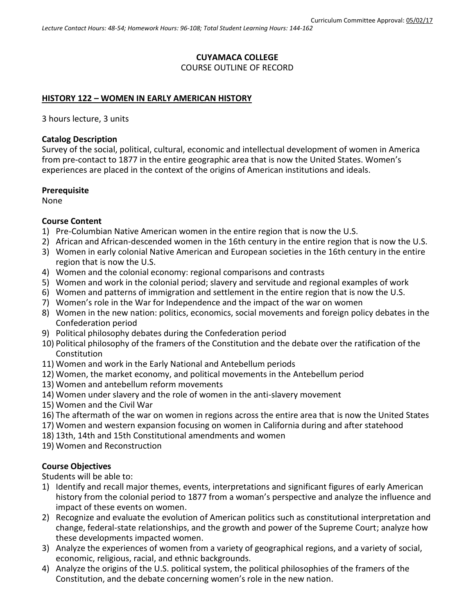### **CUYAMACA COLLEGE**

COURSE OUTLINE OF RECORD

### **HISTORY 122 – WOMEN IN EARLY AMERICAN HISTORY**

3 hours lecture, 3 units

#### **Catalog Description**

Survey of the social, political, cultural, economic and intellectual development of women in America from pre-contact to 1877 in the entire geographic area that is now the United States. Women's experiences are placed in the context of the origins of American institutions and ideals.

#### **Prerequisite**

None

#### **Course Content**

- 1) Pre-Columbian Native American women in the entire region that is now the U.S.
- 2) African and African-descended women in the 16th century in the entire region that is now the U.S.
- 3) Women in early colonial Native American and European societies in the 16th century in the entire region that is now the U.S.
- 4) Women and the colonial economy: regional comparisons and contrasts
- 5) Women and work in the colonial period; slavery and servitude and regional examples of work
- 6) Women and patterns of immigration and settlement in the entire region that is now the U.S.
- 7) Women's role in the War for Independence and the impact of the war on women
- 8) Women in the new nation: politics, economics, social movements and foreign policy debates in the Confederation period
- 9) Political philosophy debates during the Confederation period
- 10) Political philosophy of the framers of the Constitution and the debate over the ratification of the Constitution
- 11) Women and work in the Early National and Antebellum periods
- 12) Women, the market economy, and political movements in the Antebellum period
- 13) Women and antebellum reform movements
- 14) Women under slavery and the role of women in the anti-slavery movement
- 15) Women and the Civil War
- 16) The aftermath of the war on women in regions across the entire area that is now the United States
- 17) Women and western expansion focusing on women in California during and after statehood
- 18) 13th, 14th and 15th Constitutional amendments and women
- 19) Women and Reconstruction

#### **Course Objectives**

Students will be able to:

- 1) Identify and recall major themes, events, interpretations and significant figures of early American history from the colonial period to 1877 from a woman's perspective and analyze the influence and impact of these events on women.
- 2) Recognize and evaluate the evolution of American politics such as constitutional interpretation and change, federal-state relationships, and the growth and power of the Supreme Court; analyze how these developments impacted women.
- 3) Analyze the experiences of women from a variety of geographical regions, and a variety of social, economic, religious, racial, and ethnic backgrounds.
- 4) Analyze the origins of the U.S. political system, the political philosophies of the framers of the Constitution, and the debate concerning women's role in the new nation.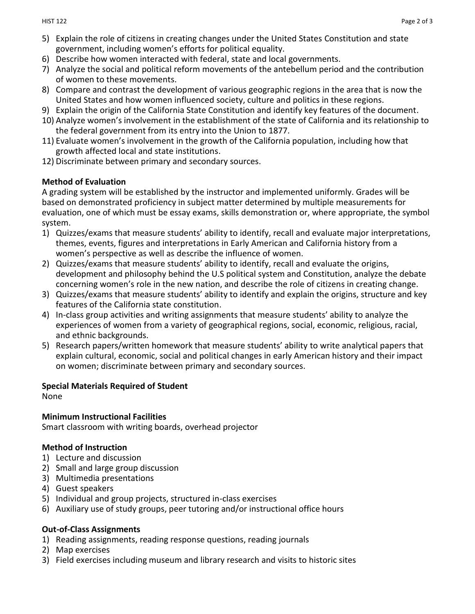- 5) Explain the role of citizens in creating changes under the United States Constitution and state government, including women's efforts for political equality.
- 6) Describe how women interacted with federal, state and local governments.
- 7) Analyze the social and political reform movements of the antebellum period and the contribution of women to these movements.
- 8) Compare and contrast the development of various geographic regions in the area that is now the United States and how women influenced society, culture and politics in these regions.
- 9) Explain the origin of the California State Constitution and identify key features of the document.
- 10) Analyze women's involvement in the establishment of the state of California and its relationship to the federal government from its entry into the Union to 1877.
- 11) Evaluate women's involvement in the growth of the California population, including how that growth affected local and state institutions.
- 12) Discriminate between primary and secondary sources.

### **Method of Evaluation**

A grading system will be established by the instructor and implemented uniformly. Grades will be based on demonstrated proficiency in subject matter determined by multiple measurements for evaluation, one of which must be essay exams, skills demonstration or, where appropriate, the symbol system.

- 1) Quizzes/exams that measure students' ability to identify, recall and evaluate major interpretations, themes, events, figures and interpretations in Early American and California history from a women's perspective as well as describe the influence of women.
- 2) Quizzes/exams that measure students' ability to identify, recall and evaluate the origins, development and philosophy behind the U.S political system and Constitution, analyze the debate concerning women's role in the new nation, and describe the role of citizens in creating change.
- 3) Quizzes/exams that measure students' ability to identify and explain the origins, structure and key features of the California state constitution.
- 4) In-class group activities and writing assignments that measure students' ability to analyze the experiences of women from a variety of geographical regions, social, economic, religious, racial, and ethnic backgrounds.
- 5) Research papers/written homework that measure students' ability to write analytical papers that explain cultural, economic, social and political changes in early American history and their impact on women; discriminate between primary and secondary sources.

### **Special Materials Required of Student**

None

#### **Minimum Instructional Facilities**

Smart classroom with writing boards, overhead projector

### **Method of Instruction**

- 1) Lecture and discussion
- 2) Small and large group discussion
- 3) Multimedia presentations
- 4) Guest speakers
- 5) Individual and group projects, structured in-class exercises
- 6) Auxiliary use of study groups, peer tutoring and/or instructional office hours

### **Out-of-Class Assignments**

- 1) Reading assignments, reading response questions, reading journals
- 2) Map exercises
- 3) Field exercises including museum and library research and visits to historic sites